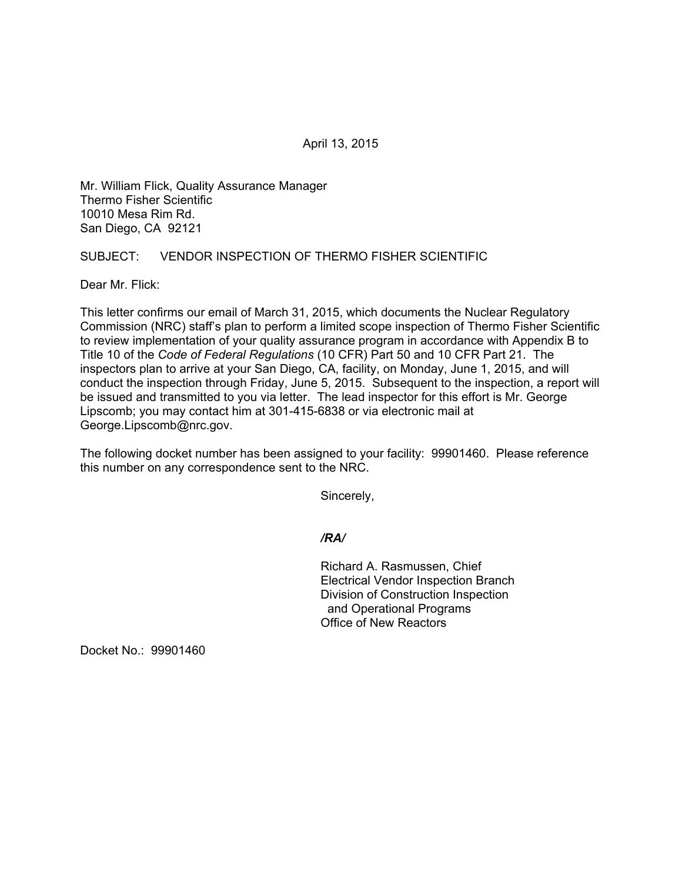April 13, 2015

Mr. William Flick, Quality Assurance Manager Thermo Fisher Scientific 10010 Mesa Rim Rd. San Diego, CA 92121

# SUBJECT: VENDOR INSPECTION OF THERMO FISHER SCIENTIFIC

Dear Mr. Flick:

This letter confirms our email of March 31, 2015, which documents the Nuclear Regulatory Commission (NRC) staff's plan to perform a limited scope inspection of Thermo Fisher Scientific to review implementation of your quality assurance program in accordance with Appendix B to Title 10 of the *Code of Federal Regulations* (10 CFR) Part 50 and 10 CFR Part 21. The inspectors plan to arrive at your San Diego, CA, facility, on Monday, June 1, 2015, and will conduct the inspection through Friday, June 5, 2015. Subsequent to the inspection, a report will be issued and transmitted to you via letter. The lead inspector for this effort is Mr. George Lipscomb; you may contact him at 301-415-6838 or via electronic mail at George.Lipscomb@nrc.gov.

The following docket number has been assigned to your facility: 99901460. Please reference this number on any correspondence sent to the NRC.

Sincerely,

## */RA/*

Richard A. Rasmussen, Chief Electrical Vendor Inspection Branch Division of Construction Inspection and Operational Programs Office of New Reactors

Docket No.: 99901460